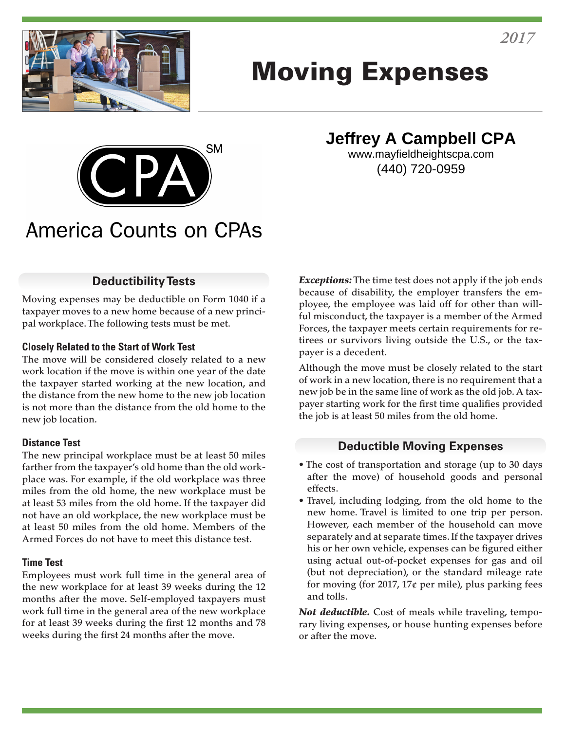

# Moving Expenses



**Jeffrey A Campbell CPA**

www.mayfieldheightscpa.com (440) 720-0959

# **America Counts on CPAs**

#### **Deductibility Tests**

Moving expenses may be deductible on Form 1040 if a taxpayer moves to a new home because of a new principal workplace. The following tests must be met.

#### **Closely Related to the Start of Work Test**

The move will be considered closely related to a new work location if the move is within one year of the date the taxpayer started working at the new location, and the distance from the new home to the new job location is not more than the distance from the old home to the new job location.

#### **Distance Test**

The new principal workplace must be at least 50 miles farther from the taxpayer's old home than the old workplace was. For example, if the old workplace was three miles from the old home, the new workplace must be at least 53 miles from the old home. If the taxpayer did not have an old workplace, the new workplace must be at least 50 miles from the old home. Members of the Armed Forces do not have to meet this distance test.

#### **Time Test**

Employees must work full time in the general area of the new workplace for at least 39 weeks during the 12 months after the move. Self-employed taxpayers must work full time in the general area of the new workplace for at least 39 weeks during the first 12 months and 78 weeks during the first 24 months after the move.

*Exceptions:* The time test does not apply if the job ends because of disability, the employer transfers the employee, the employee was laid off for other than willful misconduct, the taxpayer is a member of the Armed Forces, the taxpayer meets certain requirements for retirees or survivors living outside the U.S., or the taxpayer is a decedent.

Although the move must be closely related to the start of work in a new location, there is no requirement that a new job be in the same line of work as the old job. A taxpayer starting work for the first time qualifies provided the job is at least 50 miles from the old home.

#### **Deductible Moving Expenses**

- The cost of transportation and storage (up to 30 days after the move) of household goods and personal effects.
- Travel, including lodging, from the old home to the new home. Travel is limited to one trip per person. However, each member of the household can move separately and at separate times. If the taxpayer drives his or her own vehicle, expenses can be figured either using actual out-of-pocket expenses for gas and oil (but not depreciation), or the standard mileage rate for moving (for 2017, 17 $\epsilon$  per mile), plus parking fees and tolls.

*Not deductible.* Cost of meals while traveling, temporary living expenses, or house hunting expenses before or after the move.